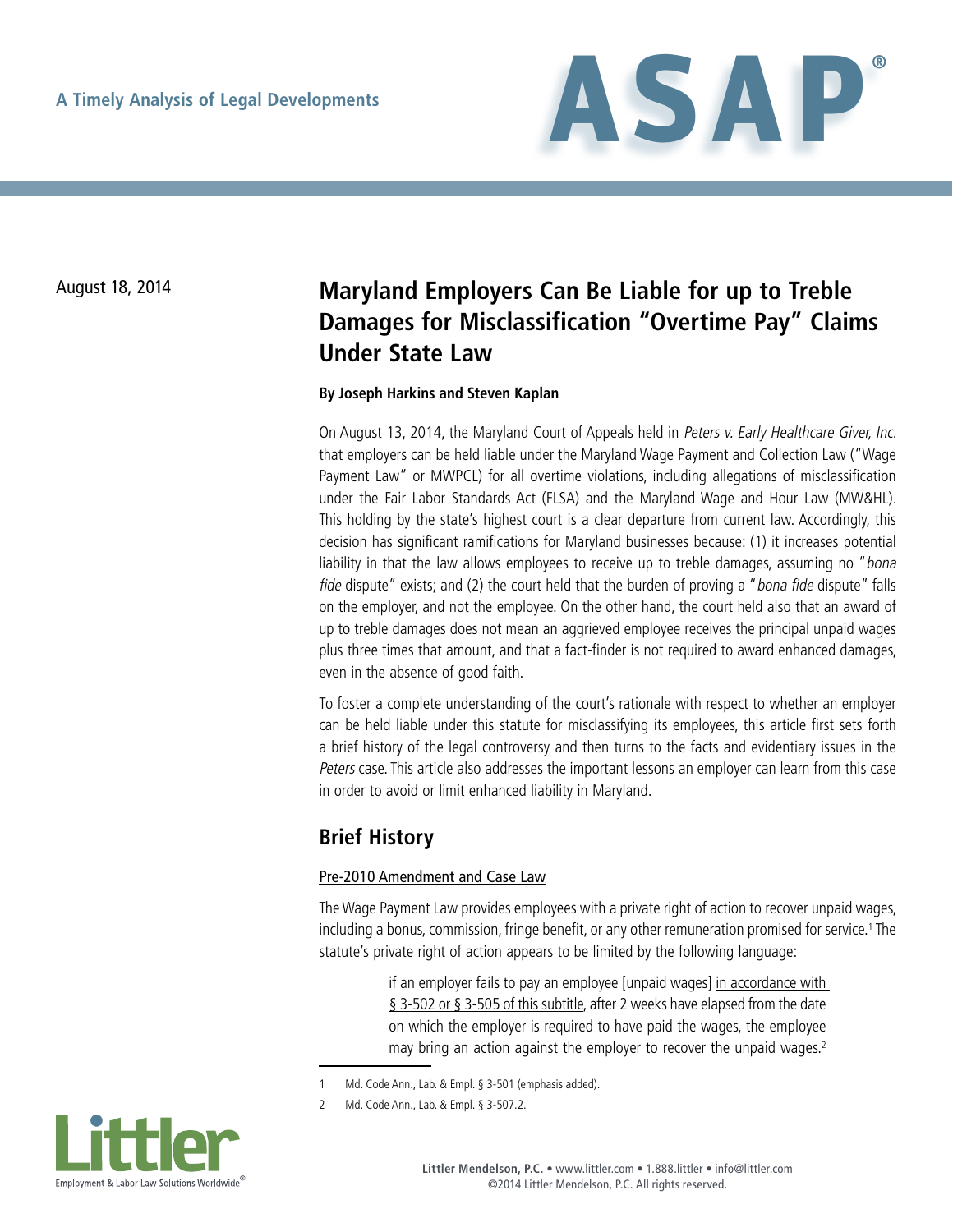

# August 18, 2014 **Maryland Employers Can Be Liable for up to Treble Damages for Misclassification "Overtime Pay" Claims Under State Law**

#### **By Joseph Harkins and Steven Kaplan**

On August 13, 2014, the Maryland Court of Appeals held in Peters v. Early Healthcare Giver, Inc. that employers can be held liable under the Maryland Wage Payment and Collection Law ("Wage Payment Law" or MWPCL) for all overtime violations, including allegations of misclassification under the Fair Labor Standards Act (FLSA) and the Maryland Wage and Hour Law (MW&HL). This holding by the state's highest court is a clear departure from current law. Accordingly, this decision has significant ramifications for Maryland businesses because: (1) it increases potential liability in that the law allows employees to receive up to treble damages, assuming no "bona fide dispute" exists; and (2) the court held that the burden of proving a "bona fide dispute" falls on the employer, and not the employee. On the other hand, the court held also that an award of up to treble damages does not mean an aggrieved employee receives the principal unpaid wages plus three times that amount, and that a fact-finder is not required to award enhanced damages, even in the absence of good faith.

To foster a complete understanding of the court's rationale with respect to whether an employer can be held liable under this statute for misclassifying its employees, this article first sets forth a brief history of the legal controversy and then turns to the facts and evidentiary issues in the Peters case. This article also addresses the important lessons an employer can learn from this case in order to avoid or limit enhanced liability in Maryland.

# **Brief History**

#### Pre-2010 Amendment and Case Law

The Wage Payment Law provides employees with a private right of action to recover unpaid wages, including a bonus, commission, fringe benefit, or any other remuneration promised for service.<sup>1</sup> The statute's private right of action appears to be limited by the following language:

> if an employer fails to pay an employee [unpaid wages] in accordance with § 3-502 or § 3-505 of this subtitle, after 2 weeks have elapsed from the date on which the employer is required to have paid the wages, the employee may bring an action against the employer to recover the unpaid wages.<sup>2</sup>

<sup>2</sup> Md. Code Ann., Lab. & Empl. § 3-507.2.



<sup>1</sup> Md. Code Ann., Lab. & Empl. § 3-501 (emphasis added).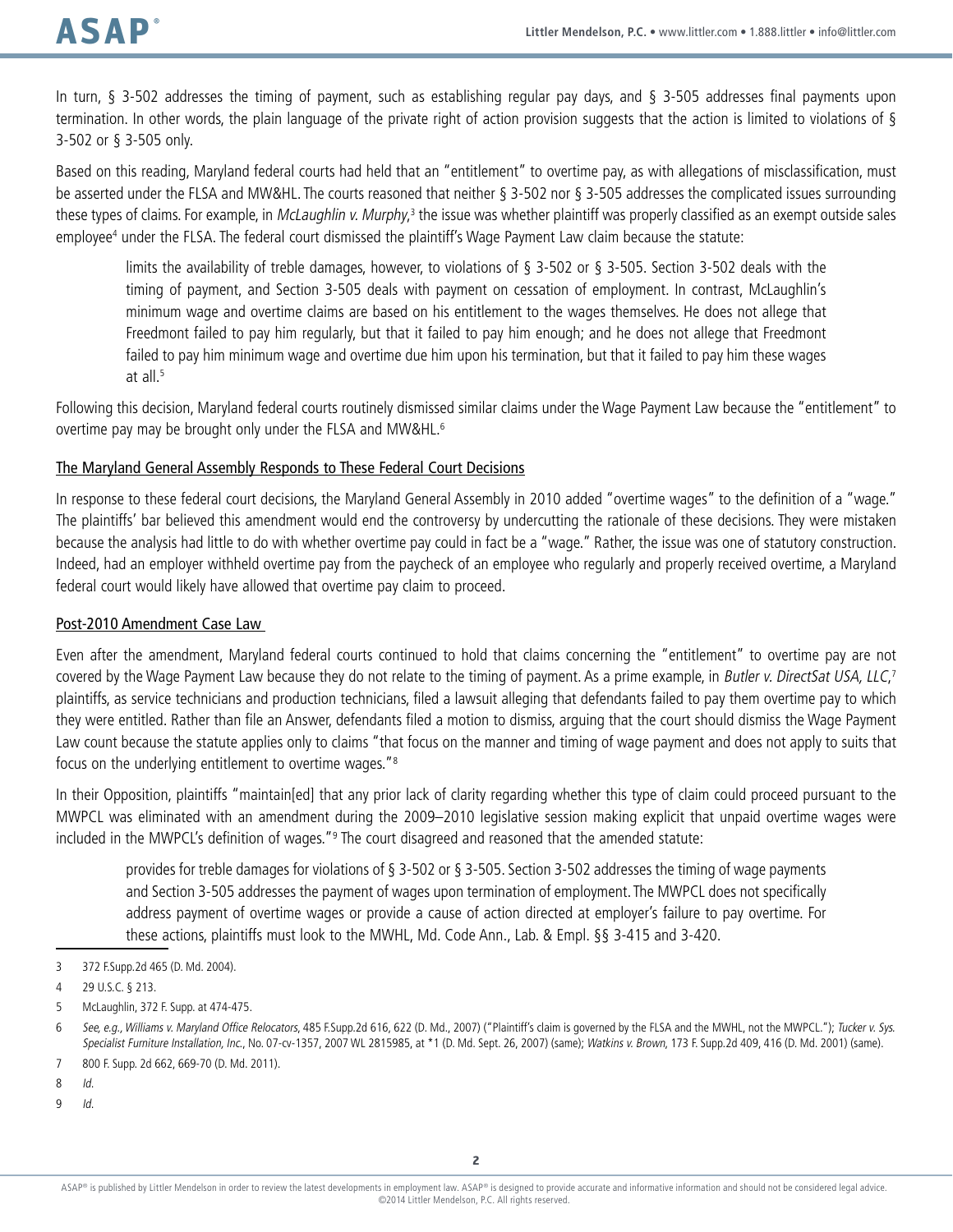In turn, § 3-502 addresses the timing of payment, such as establishing regular pay days, and § 3-505 addresses final payments upon termination. In other words, the plain language of the private right of action provision suggests that the action is limited to violations of § 3-502 or § 3-505 only.

Based on this reading, Maryland federal courts had held that an "entitlement" to overtime pay, as with allegations of misclassification, must be asserted under the FLSA and MW&HL. The courts reasoned that neither § 3-502 nor § 3-505 addresses the complicated issues surrounding these types of claims. For example, in *McLaughlin v. Murphy*,<sup>3</sup> the issue was whether plaintiff was properly classified as an exempt outside sales employee<sup>4</sup> under the FLSA. The federal court dismissed the plaintiff's Wage Payment Law claim because the statute:

limits the availability of treble damages, however, to violations of § 3-502 or § 3-505. Section 3-502 deals with the timing of payment, and Section 3-505 deals with payment on cessation of employment. In contrast, McLaughlin's minimum wage and overtime claims are based on his entitlement to the wages themselves. He does not allege that Freedmont failed to pay him regularly, but that it failed to pay him enough; and he does not allege that Freedmont failed to pay him minimum wage and overtime due him upon his termination, but that it failed to pay him these wages at all.<sup>5</sup>

Following this decision, Maryland federal courts routinely dismissed similar claims under the Wage Payment Law because the "entitlement" to overtime pay may be brought only under the FLSA and MW&HL.6

### The Maryland General Assembly Responds to These Federal Court Decisions

In response to these federal court decisions, the Maryland General Assembly in 2010 added "overtime wages" to the definition of a "wage." The plaintiffs' bar believed this amendment would end the controversy by undercutting the rationale of these decisions. They were mistaken because the analysis had little to do with whether overtime pay could in fact be a "wage." Rather, the issue was one of statutory construction. Indeed, had an employer withheld overtime pay from the paycheck of an employee who regularly and properly received overtime, a Maryland federal court would likely have allowed that overtime pay claim to proceed.

### Post-2010 Amendment Case Law

Even after the amendment, Maryland federal courts continued to hold that claims concerning the "entitlement" to overtime pay are not covered by the Wage Payment Law because they do not relate to the timing of payment. As a prime example, in Butler v. DirectSat USA, LLC,<sup>7</sup> plaintiffs, as service technicians and production technicians, filed a lawsuit alleging that defendants failed to pay them overtime pay to which they were entitled. Rather than file an Answer, defendants filed a motion to dismiss, arguing that the court should dismiss the Wage Payment Law count because the statute applies only to claims "that focus on the manner and timing of wage payment and does not apply to suits that focus on the underlying entitlement to overtime wages."8

In their Opposition, plaintiffs "maintain[ed] that any prior lack of clarity regarding whether this type of claim could proceed pursuant to the MWPCL was eliminated with an amendment during the 2009–2010 legislative session making explicit that unpaid overtime wages were included in the MWPCL's definition of wages."<sup>9</sup> The court disagreed and reasoned that the amended statute:

provides for treble damages for violations of § 3-502 or § 3-505. Section 3-502 addresses the timing of wage payments and Section 3-505 addresses the payment of wages upon termination of employment. The MWPCL does not specifically address payment of overtime wages or provide a cause of action directed at employer's failure to pay overtime. For these actions, plaintiffs must look to the MWHL, Md. Code Ann., Lab. & Empl. §§ 3-415 and 3-420.

 $9$  Id.

<sup>3</sup> 372 F.Supp.2d 465 (D. Md. 2004).

<sup>4</sup> 29 U.S.C. § 213.

<sup>5</sup> McLaughlin, 372 F. Supp. at 474-475.

<sup>6</sup> See, e.g., Williams v. Maryland Office Relocators, 485 F.Supp.2d 616, 622 (D. Md., 2007) ("Plaintiff's claim is governed by the FLSA and the MWHL, not the MWPCL."); Tucker v. Sys. Specialist Furniture Installation, Inc., No. 07-cv-1357, 2007 WL 2815985, at \*1 (D. Md. Sept. 26, 2007) (same); Watkins v. Brown, 173 F. Supp.2d 409, 416 (D. Md. 2001) (same).

<sup>7</sup> 800 F. Supp. 2d 662, 669-70 (D. Md. 2011).

<sup>8</sup> Id.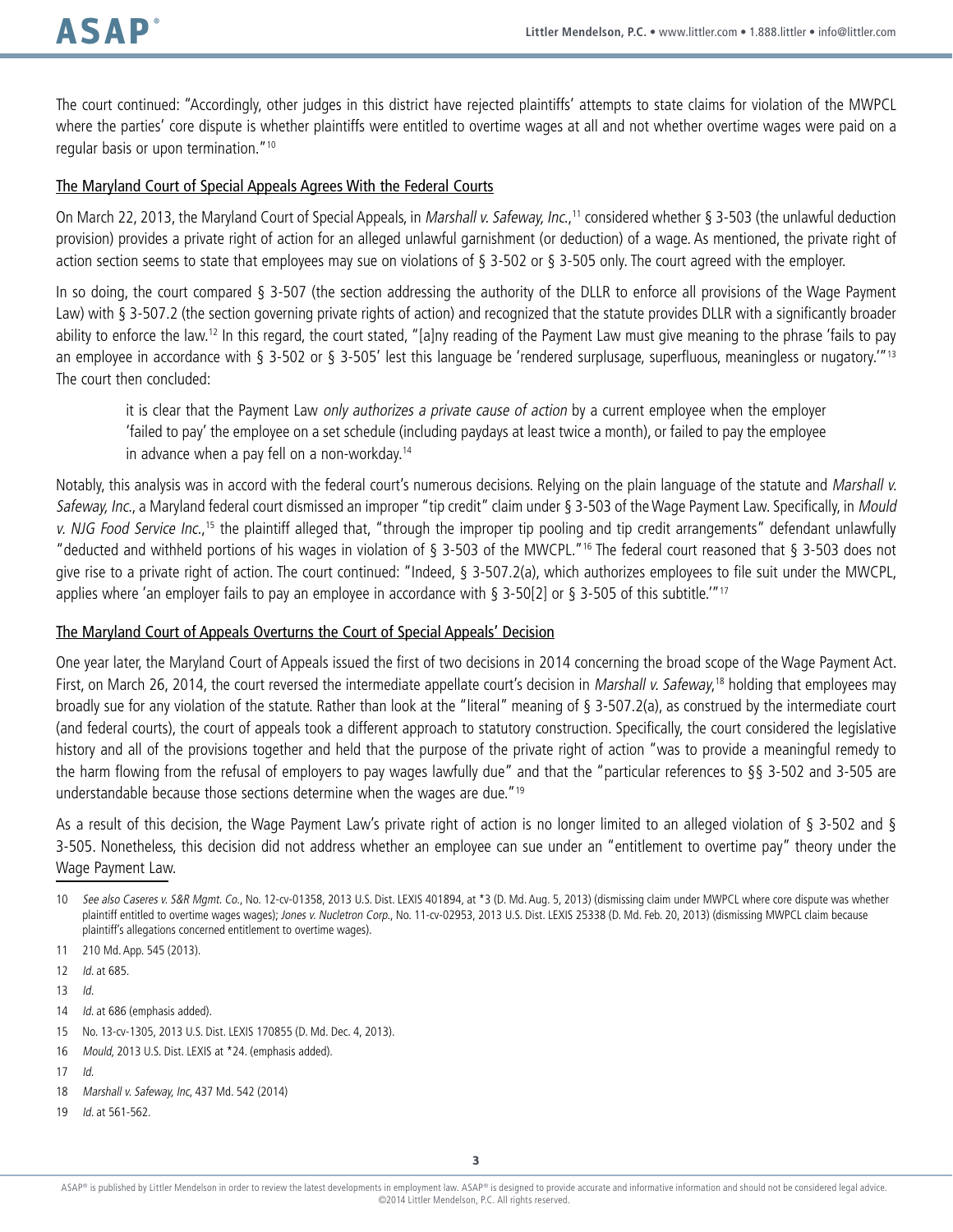The court continued: "Accordingly, other judges in this district have rejected plaintiffs' attempts to state claims for violation of the MWPCL where the parties' core dispute is whether plaintiffs were entitled to overtime wages at all and not whether overtime wages were paid on a regular basis or upon termination."10

#### The Maryland Court of Special Appeals Agrees With the Federal Courts

On March 22, 2013, the Maryland Court of Special Appeals, in Marshall v. Safeway, Inc.,<sup>11</sup> considered whether § 3-503 (the unlawful deduction provision) provides a private right of action for an alleged unlawful garnishment (or deduction) of a wage. As mentioned, the private right of action section seems to state that employees may sue on violations of § 3-502 or § 3-505 only. The court agreed with the employer.

In so doing, the court compared § 3-507 (the section addressing the authority of the DLLR to enforce all provisions of the Wage Payment Law) with § 3-507.2 (the section governing private rights of action) and recognized that the statute provides DLLR with a significantly broader ability to enforce the law.<sup>12</sup> In this regard, the court stated, "[a]ny reading of the Payment Law must give meaning to the phrase 'fails to pay an employee in accordance with § 3-502 or § 3-505' lest this language be 'rendered surplusage, superfluous, meaningless or nugatory.<sup>'"13</sup> The court then concluded:

it is clear that the Payment Law only authorizes a private cause of action by a current employee when the employer 'failed to pay' the employee on a set schedule (including paydays at least twice a month), or failed to pay the employee in advance when a pay fell on a non-workday.14

Notably, this analysis was in accord with the federal court's numerous decisions. Relying on the plain language of the statute and Marshall v. Safeway, Inc., a Maryland federal court dismissed an improper "tip credit" claim under § 3-503 of the Wage Payment Law. Specifically, in Mould v. NJG Food Service Inc.,<sup>15</sup> the plaintiff alleged that, "through the improper tip pooling and tip credit arrangements" defendant unlawfully "deducted and withheld portions of his wages in violation of § 3-503 of the MWCPL."16 The federal court reasoned that § 3-503 does not give rise to a private right of action. The court continued: "Indeed, § 3-507.2(a), which authorizes employees to file suit under the MWCPL, applies where 'an employer fails to pay an employee in accordance with  $\S$  3-50[2] or  $\S$  3-505 of this subtitle.'"<sup>17</sup>

#### The Maryland Court of Appeals Overturns the Court of Special Appeals' Decision

One year later, the Maryland Court of Appeals issued the first of two decisions in 2014 concerning the broad scope of the Wage Payment Act. First, on March 26, 2014, the court reversed the intermediate appellate court's decision in *Marshall v. Safeway*,<sup>18</sup> holding that employees may broadly sue for any violation of the statute. Rather than look at the "literal" meaning of § 3-507.2(a), as construed by the intermediate court (and federal courts), the court of appeals took a different approach to statutory construction. Specifically, the court considered the legislative history and all of the provisions together and held that the purpose of the private right of action "was to provide a meaningful remedy to the harm flowing from the refusal of employers to pay wages lawfully due" and that the "particular references to §§ 3-502 and 3-505 are understandable because those sections determine when the wages are due."19

As a result of this decision, the Wage Payment Law's private right of action is no longer limited to an alleged violation of § 3-502 and § 3-505. Nonetheless, this decision did not address whether an employee can sue under an "entitlement to overtime pay" theory under the Wage Payment Law.

- 11 210 Md. App. 545 (2013).
- 12 Id. at 685.
- 13 Id.
- 14 *Id.* at 686 (emphasis added).
- 15 No. 13-cv-1305, 2013 U.S. Dist. LEXIS 170855 (D. Md. Dec. 4, 2013).
- 16 Mould, 2013 U.S. Dist. LEXIS at \*24. (emphasis added).
- 17 Id.
- 18 Marshall v. Safeway, Inc, 437 Md. 542 (2014)
- 19 Id. at 561-562.

<sup>10</sup> See also Caseres v. S&R Mgmt. Co., No. 12-cv-01358, 2013 U.S. Dist. LEXIS 401894, at \*3 (D. Md. Aug. 5, 2013) (dismissing claim under MWPCL where core dispute was whether plaintiff entitled to overtime wages wages); Jones v. Nucletron Corp., No. 11-cv-02953, 2013 U.S. Dist. LEXIS 25338 (D. Md. Feb. 20, 2013) (dismissing MWPCL claim because plaintiff's allegations concerned entitlement to overtime wages).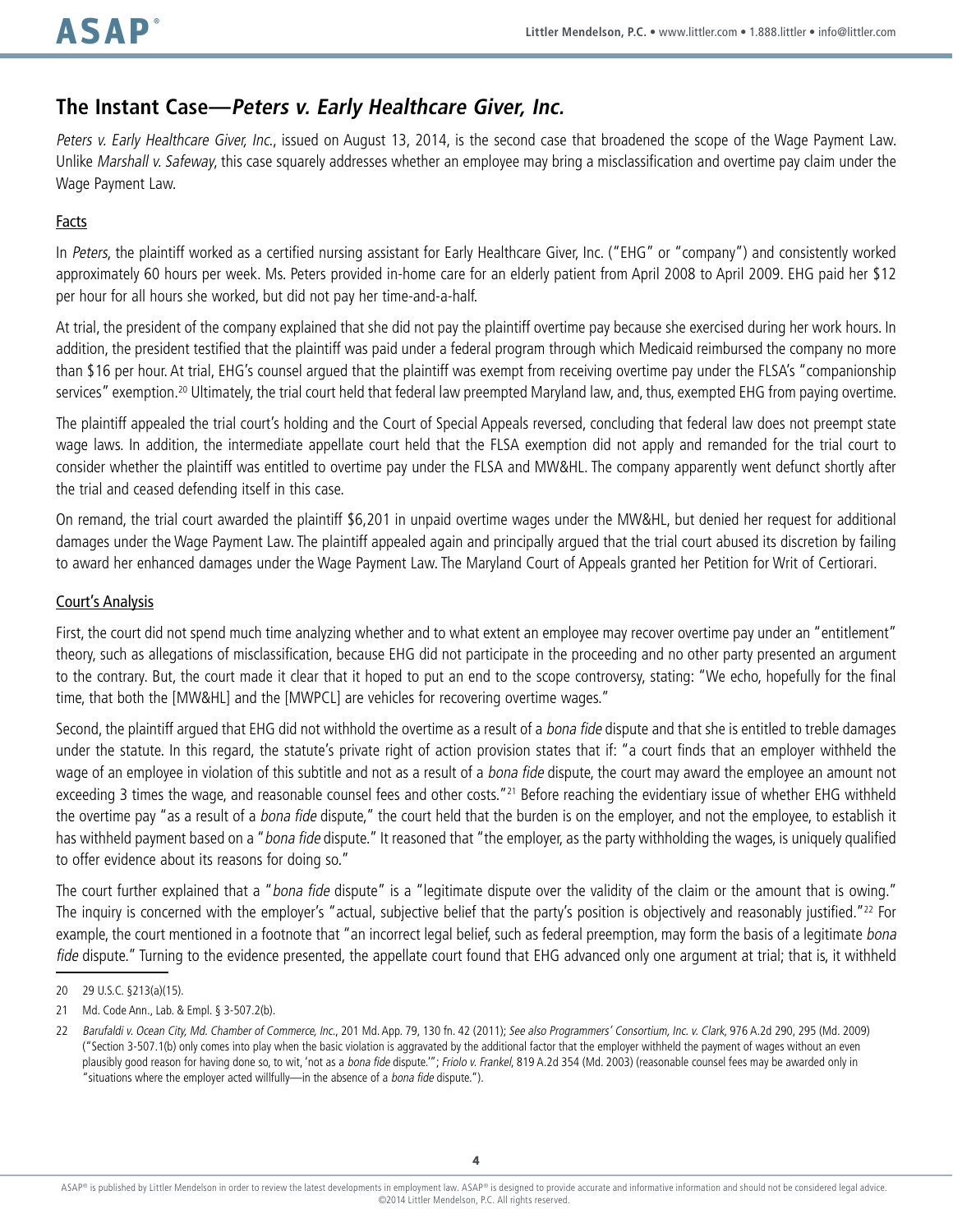# **The Instant Case—Peters v. Early Healthcare Giver, Inc.**

Peters v. Early Healthcare Giver, Inc., issued on August 13, 2014, is the second case that broadened the scope of the Wage Payment Law. Unlike Marshall v. Safeway, this case squarely addresses whether an employee may bring a misclassification and overtime pay claim under the Wage Payment Law.

### **Facts**

In Peters, the plaintiff worked as a certified nursing assistant for Early Healthcare Giver, Inc. ("EHG" or "company") and consistently worked approximately 60 hours per week. Ms. Peters provided in-home care for an elderly patient from April 2008 to April 2009. EHG paid her \$12 per hour for all hours she worked, but did not pay her time-and-a-half.

At trial, the president of the company explained that she did not pay the plaintiff overtime pay because she exercised during her work hours. In addition, the president testified that the plaintiff was paid under a federal program through which Medicaid reimbursed the company no more than \$16 per hour. At trial, EHG's counsel argued that the plaintiff was exempt from receiving overtime pay under the FLSA's "companionship services" exemption.<sup>20</sup> Ultimately, the trial court held that federal law preempted Maryland law, and, thus, exempted EHG from paying overtime.

The plaintiff appealed the trial court's holding and the Court of Special Appeals reversed, concluding that federal law does not preempt state wage laws. In addition, the intermediate appellate court held that the FLSA exemption did not apply and remanded for the trial court to consider whether the plaintiff was entitled to overtime pay under the FLSA and MW&HL. The company apparently went defunct shortly after the trial and ceased defending itself in this case.

On remand, the trial court awarded the plaintiff \$6,201 in unpaid overtime wages under the MW&HL, but denied her request for additional damages under the Wage Payment Law. The plaintiff appealed again and principally argued that the trial court abused its discretion by failing to award her enhanced damages under the Wage Payment Law. The Maryland Court of Appeals granted her Petition for Writ of Certiorari.

#### Court's Analysis

First, the court did not spend much time analyzing whether and to what extent an employee may recover overtime pay under an "entitlement" theory, such as allegations of misclassification, because EHG did not participate in the proceeding and no other party presented an argument to the contrary. But, the court made it clear that it hoped to put an end to the scope controversy, stating: "We echo, hopefully for the final time, that both the [MW&HL] and the [MWPCL] are vehicles for recovering overtime wages."

Second, the plaintiff argued that EHG did not withhold the overtime as a result of a bona fide dispute and that she is entitled to treble damages under the statute. In this regard, the statute's private right of action provision states that if: "a court finds that an employer withheld the wage of an employee in violation of this subtitle and not as a result of a *bona fide* dispute, the court may award the employee an amount not exceeding 3 times the wage, and reasonable counsel fees and other costs."<sup>21</sup> Before reaching the evidentiary issue of whether EHG withheld the overtime pay "as a result of a bona fide dispute," the court held that the burden is on the employer, and not the employee, to establish it has withheld payment based on a "bona fide dispute." It reasoned that "the employer, as the party withholding the wages, is uniquely qualified to offer evidence about its reasons for doing so."

The court further explained that a "bona fide dispute" is a "legitimate dispute over the validity of the claim or the amount that is owing." The inquiry is concerned with the employer's "actual, subjective belief that the party's position is objectively and reasonably justified."<sup>22</sup> For example, the court mentioned in a footnote that "an incorrect legal belief, such as federal preemption, may form the basis of a legitimate bona fide dispute." Turning to the evidence presented, the appellate court found that EHG advanced only one argument at trial; that is, it withheld

<sup>20</sup> 29 U.S.C. §213(a)(15).

<sup>21</sup> Md. Code Ann., Lab. & Empl. § 3-507.2(b).

<sup>22</sup> Barufaldi v. Ocean City, Md. Chamber of Commerce, Inc., 201 Md. App. 79, 130 fn. 42 (2011); See also Programmers' Consortium, Inc. v. Clark, 976 A.2d 290, 295 (Md. 2009) ("Section 3-507.1(b) only comes into play when the basic violation is aggravated by the additional factor that the employer withheld the payment of wages without an even plausibly good reason for having done so, to wit, 'not as a bona fide dispute.""; Friolo v. Frankel, 819 A.2d 354 (Md. 2003) (reasonable counsel fees may be awarded only in "situations where the employer acted willfully—in the absence of a bona fide dispute.").